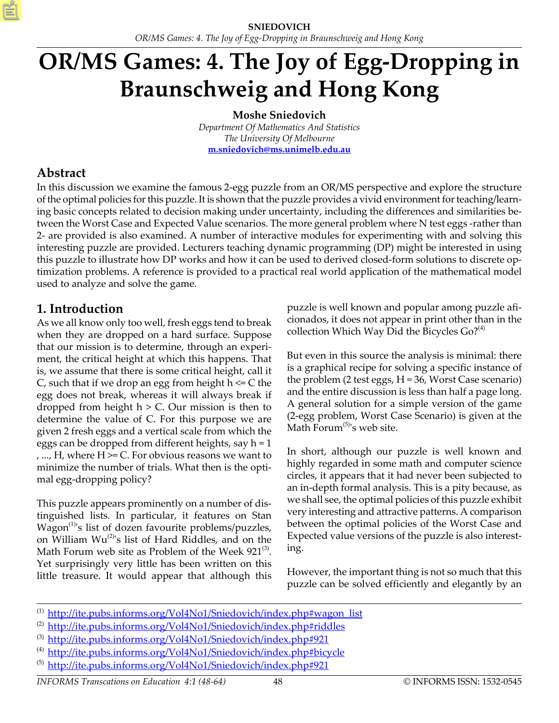# **OR/MS Games: 4. The Joy of Egg-Dropping in Braunschweig and Hong Kong**

**Moshe Sniedovich** *Department Of Mathematics And Statistics The University Of Melbourne* **[m.sniedovich@ms.unimelb.edu.au](mailto:m.sniedovich@ms.unimelb.edu.au)**

# **Abstract**

In this discussion we examine the famous 2-egg puzzle from an OR/MS perspective and explore the structure of the optimal policies for this puzzle. It is shown that the puzzle provides a vivid environment for teaching/learning basic concepts related to decision making under uncertainty, including the differences and similarities between the Worst Case and Expected Value scenarios. The more general problem where N test eggs -rather than 2- are provided is also examined. A number of interactive modules for experimenting with and solving this interesting puzzle are provided. Lecturers teaching dynamic programming (DP) might be interested in using this puzzle to illustrate how DP works and how it can be used to derived closed-form solutions to discrete optimization problems. A reference is provided to a practical real world application of the mathematical model used to analyze and solve the game.

# **1. Introduction**

As we all know only too well, fresh eggs tend to break when they are dropped on a hard surface. Suppose that our mission is to determine, through an experiment, the critical height at which this happens. That is, we assume that there is some critical height, call it C, such that if we drop an egg from height  $h \le C$  the egg does not break, whereas it will always break if dropped from height  $h > C$ . Our mission is then to determine the value of C. For this purpose we are given 2 fresh eggs and a vertical scale from which the eggs can be dropped from different heights, say  $h = 1$ , ..., H, where H >= C. For obvious reasons we want to minimize the number of trials. What then is the optimal egg-dropping policy?

This puzzle appears prominently on a number of distinguished lists. In particular, it features on Stan Wagon $^{(1)}$ 's list of dozen favourite problems/puzzles, on William Wu(2)'s list of Hard Riddles, and on the Math Forum web site as Problem of the Week 921 $^{(3)}$ . Yet surprisingly very little has been written on this little treasure. It would appear that although this puzzle is well known and popular among puzzle aficionados, it does not appear in print other than in the collection Which Way Did the Bicycles  $Go?^{(4)}$ 

But even in this source the analysis is minimal: there is a graphical recipe for solving a specific instance of the problem (2 test eggs, H = 36, Worst Case scenario) and the entire discussion is less than half a page long. A general solution for a simple version of the game (2-egg problem, Worst Case Scenario) is given at the Math  $\text{Form}^{(5)}$ 's web site.

In short, although our puzzle is well known and highly regarded in some math and computer science circles, it appears that it had never been subjected to an in-depth formal analysis. This is a pity because, as we shall see, the optimal policies of this puzzle exhibit very interesting and attractive patterns. A comparison between the optimal policies of the Worst Case and Expected value versions of the puzzle is also interesting.

However, the important thing is not so much that this puzzle can be solved efficiently and elegantly by an

<sup>(1)</sup> [http://ite.pubs.informs.org/Vol4No1/Sniedovich/index.php#wagon\\_list](http://ite.pubs.informs.org/Vol4No1/Sniedovich/index.php#wagon_list)

<sup>(2)</sup> <http://ite.pubs.informs.org/Vol4No1/Sniedovich/index.php#riddles>

<sup>(3)</sup> <http://ite.pubs.informs.org/Vol4No1/Sniedovich/index.php#921>

<sup>(4)</sup> <http://ite.pubs.informs.org/Vol4No1/Sniedovich/index.php#bicycle>

<sup>(5)</sup> <http://ite.pubs.informs.org/Vol4No1/Sniedovich/index.php#921>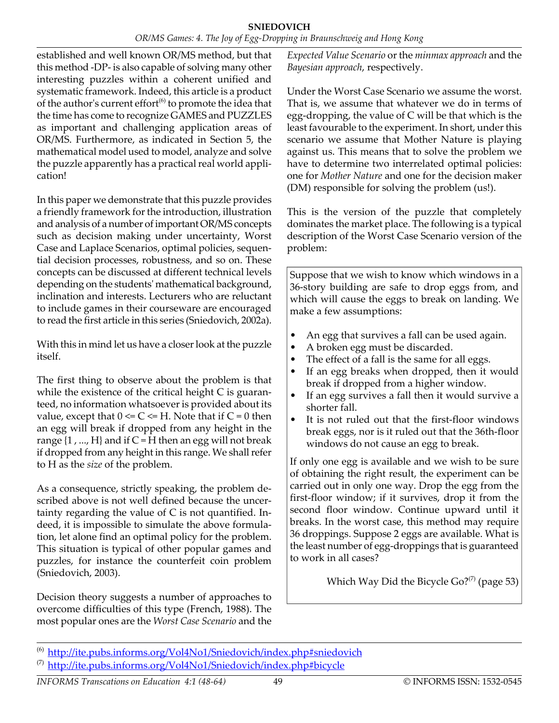#### **SNIEDOVICH** *OR/MS Games: 4. The Joy of Egg-Dropping in Braunschweig and Hong Kong*

established and well known OR/MS method, but that this method -DP- is also capable of solving many other interesting puzzles within a coherent unified and systematic framework. Indeed, this article is a product of the author's current effort $^{(6)}$  to promote the idea that the time has come to recognize GAMES and PUZZLES as important and challenging application areas of OR/MS. Furthermore, as indicated in Section 5, the mathematical model used to model, analyze and solve the puzzle apparently has a practical real world application!

In this paper we demonstrate that this puzzle provides a friendly framework for the introduction, illustration and analysis of a number of important OR/MS concepts such as decision making under uncertainty, Worst Case and Laplace Scenarios, optimal policies, sequential decision processes, robustness, and so on. These concepts can be discussed at different technical levels depending on the students' mathematical background, inclination and interests. Lecturers who are reluctant to include games in their courseware are encouraged to read the first article in this series (Sniedovich, 2002a).

With this in mind let us have a closer look at the puzzle itself.

The first thing to observe about the problem is that while the existence of the critical height C is guaranteed, no information whatsoever is provided about its value, except that  $0 \le C \le H$ . Note that if  $C = 0$  then an egg will break if dropped from any height in the range  $\{1, ..., H\}$  and if C = H then an egg will not break if dropped from any height in this range. We shall refer to H as the *size* of the problem.

As a consequence, strictly speaking, the problem described above is not well defined because the uncertainty regarding the value of C is not quantified. Indeed, it is impossible to simulate the above formulation, let alone find an optimal policy for the problem. This situation is typical of other popular games and puzzles, for instance the counterfeit coin problem (Sniedovich, 2003).

Decision theory suggests a number of approaches to overcome difficulties of this type (French, 1988). The most popular ones are the *Worst Case Scenario* and the *Expected Value Scenario* or the *minmax approach* and the *Bayesian approach*, respectively.

Under the Worst Case Scenario we assume the worst. That is, we assume that whatever we do in terms of egg-dropping, the value of C will be that which is the least favourable to the experiment. In short, under this scenario we assume that Mother Nature is playing against us. This means that to solve the problem we have to determine two interrelated optimal policies: one for *Mother Nature* and one for the decision maker (DM) responsible for solving the problem (us!).

This is the version of the puzzle that completely dominates the market place. The following is a typical description of the Worst Case Scenario version of the problem:

Suppose that we wish to know which windows in a 36-story building are safe to drop eggs from, and which will cause the eggs to break on landing. We make a few assumptions:

- An egg that survives a fall can be used again.
- A broken egg must be discarded.
- The effect of a fall is the same for all eggs.
- If an egg breaks when dropped, then it would break if dropped from a higher window.
- If an egg survives a fall then it would survive a shorter fall.
- It is not ruled out that the first-floor windows break eggs, nor is it ruled out that the 36th-floor windows do not cause an egg to break.

If only one egg is available and we wish to be sure of obtaining the right result, the experiment can be carried out in only one way. Drop the egg from the first-floor window; if it survives, drop it from the second floor window. Continue upward until it breaks. In the worst case, this method may require 36 droppings. Suppose 2 eggs are available. What is the least number of egg-droppings that is guaranteed to work in all cases?

Which Way Did the Bicycle  $Go?^{(7)}$  (page 53)

<sup>&</sup>lt;sup>(6)</sup> <http://ite.pubs.informs.org/Vol4No1/Sniedovich/index.php#sniedovich>

<sup>(7)</sup> <http://ite.pubs.informs.org/Vol4No1/Sniedovich/index.php#bicycle>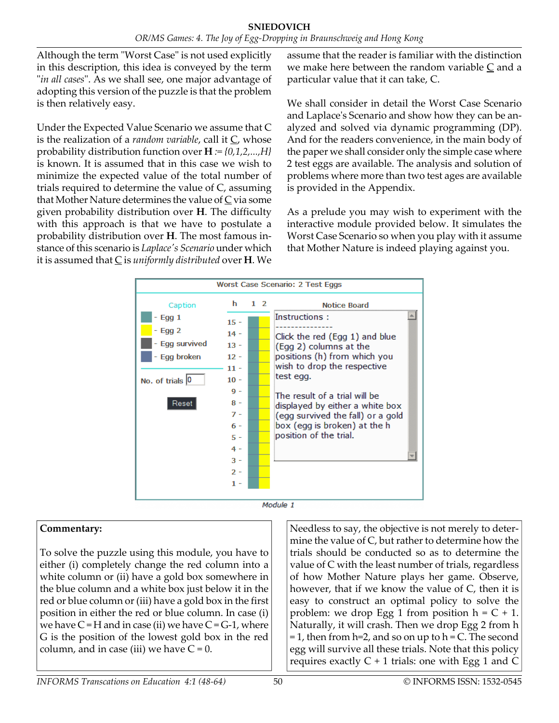#### **SNIEDOVICH** *OR/MS Games: 4. The Joy of Egg-Dropping in Braunschweig and Hong Kong*

Although the term "Worst Case" is not used explicitly in this description, this idea is conveyed by the term "*in all cases*". As we shall see, one major advantage of adopting this version of the puzzle is that the problem is then relatively easy.

Under the Expected Value Scenario we assume that C is the realization of a *random variable*, call it C, whose probability distribution function over **H** *:= {0,1,2,...,H}* is known. It is assumed that in this case we wish to minimize the expected value of the total number of trials required to determine the value of C, assuming that Mother Nature determines the value of  $C$  via some given probability distribution over **H**. The difficulty with this approach is that we have to postulate a probability distribution over **H**. The most famous instance of this scenario is *Laplace's Scenario* under which it is assumed that C is *uniformly distributed* over **H**. We

assume that the reader is familiar with the distinction we make here between the random variable C and a particular value that it can take, C.

We shall consider in detail the Worst Case Scenario and Laplace's Scenario and show how they can be analyzed and solved via dynamic programming (DP). And for the readers convenience, in the main body of the paper we shall consider only the simple case where 2 test eggs are available. The analysis and solution of problems where more than two test ages are available is provided in the Appendix.

As a prelude you may wish to experiment with the interactive module provided below. It simulates the Worst Case Scenario so when you play with it assume that Mother Nature is indeed playing against you.





#### **Commentary:**

To solve the puzzle using this module, you have to either (i) completely change the red column into a white column or (ii) have a gold box somewhere in the blue column and a white box just below it in the red or blue column or (iii) have a gold box in the first position in either the red or blue column. In case (i) we have  $C = H$  and in case (ii) we have  $C = G-1$ , where G is the position of the lowest gold box in the red column, and in case (iii) we have  $C = 0$ .

Needless to say, the objective is not merely to determine the value of C, but rather to determine how the trials should be conducted so as to determine the value of C with the least number of trials, regardless of how Mother Nature plays her game. Observe, however, that if we know the value of C, then it is easy to construct an optimal policy to solve the problem: we drop Egg 1 from position  $h = C + 1$ . Naturally, it will crash. Then we drop Egg 2 from h = 1, then from h=2, and so on up to h = C. The second egg will survive all these trials. Note that this policy requires exactly  $C + 1$  trials: one with Egg 1 and C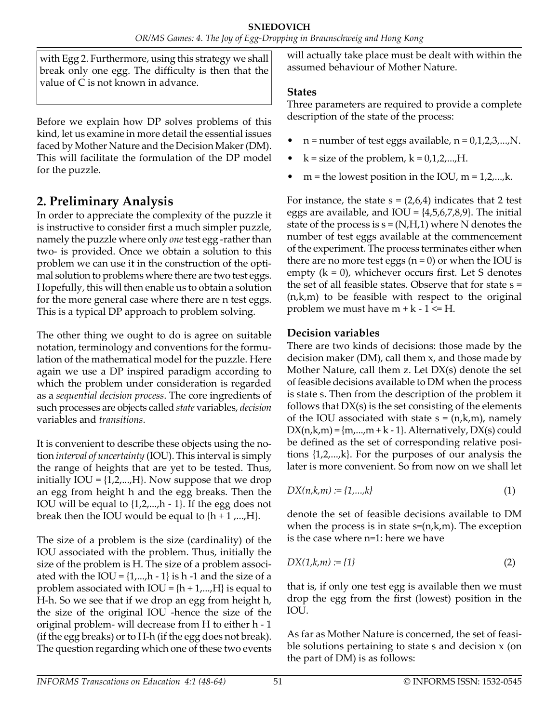with Egg 2. Furthermore, using this strategy we shall break only one egg. The difficulty is then that the value of C is not known in advance.

Before we explain how DP solves problems of this kind, let us examine in more detail the essential issues faced by Mother Nature and the Decision Maker (DM). This will facilitate the formulation of the DP model for the puzzle.

# **2. Preliminary Analysis**

In order to appreciate the complexity of the puzzle it is instructive to consider first a much simpler puzzle, namely the puzzle where only *one*test egg -rather than two- is provided. Once we obtain a solution to this problem we can use it in the construction of the optimal solution to problems where there are two test eggs. Hopefully, this will then enable us to obtain a solution for the more general case where there are n test eggs. This is a typical DP approach to problem solving.

The other thing we ought to do is agree on suitable notation, terminology and conventions for the formulation of the mathematical model for the puzzle. Here again we use a DP inspired paradigm according to which the problem under consideration is regarded as a *sequential decision process*. The core ingredients of such processes are objects called *state* variables, *decision* variables and *transitions*.

It is convenient to describe these objects using the notion *interval of uncertainty* (IOU). This interval is simply the range of heights that are yet to be tested. Thus, initially IOU = {1,2,...,H}. Now suppose that we drop an egg from height h and the egg breaks. Then the IOU will be equal to {1,2,...,h - 1}. If the egg does not break then the IOU would be equal to  ${h+1,...,H}$ .

The size of a problem is the size (cardinality) of the IOU associated with the problem. Thus, initially the size of the problem is H. The size of a problem associated with the IOU =  $\{1,...,h-1\}$  is h -1 and the size of a problem associated with  $IOU = {h+1,...,H}$  is equal to H-h. So we see that if we drop an egg from height h, the size of the original IOU -hence the size of the original problem- will decrease from H to either h - 1 (if the egg breaks) or to H-h (if the egg does not break). The question regarding which one of these two events

will actually take place must be dealt with within the assumed behaviour of Mother Nature.

# **States**

Three parameters are required to provide a complete description of the state of the process:

- $n =$  number of test eggs available,  $n = 0,1,2,3,...,N$ .
- $k = size of the problem, k = 0, 1, 2, \dots, H.$
- $m =$  the lowest position in the IOU,  $m = 1, 2, \dots, k$ .

For instance, the state  $s = (2,6,4)$  indicates that 2 test eggs are available, and IOU =  $\{4,5,6,7,8,9\}$ . The initial state of the process is  $s = (N,H,1)$  where N denotes the number of test eggs available at the commencement of the experiment. The process terminates either when there are no more test eggs  $(n = 0)$  or when the IOU is empty  $(k = 0)$ , whichever occurs first. Let S denotes the set of all feasible states. Observe that for state s = (n,k,m) to be feasible with respect to the original problem we must have  $m + k - 1 \leq H$ .

# **Decision variables**

There are two kinds of decisions: those made by the decision maker (DM), call them x, and those made by Mother Nature, call them z. Let DX(s) denote the set of feasible decisions available to DM when the process is state s. Then from the description of the problem it follows that  $DX(s)$  is the set consisting of the elements of the IOU associated with state  $s = (n,k,m)$ , namely  $DX(n,k,m) = \{m,...,m+k-1\}$ . Alternatively,  $DX(s)$  could be defined as the set of corresponding relative positions {1,2,...,k}. For the purposes of our analysis the later is more convenient. So from now on we shall let

$$
DX(n,k,m) := \{1,...,k\}
$$
 (1)

denote the set of feasible decisions available to DM when the process is in state  $s=(n,k,m)$ . The exception is the case where n=1: here we have

$$
DX(1,k,m) := \{1\}
$$
 (2)

that is, if only one test egg is available then we must drop the egg from the first (lowest) position in the IOU.

As far as Mother Nature is concerned, the set of feasible solutions pertaining to state s and decision x (on the part of DM) is as follows: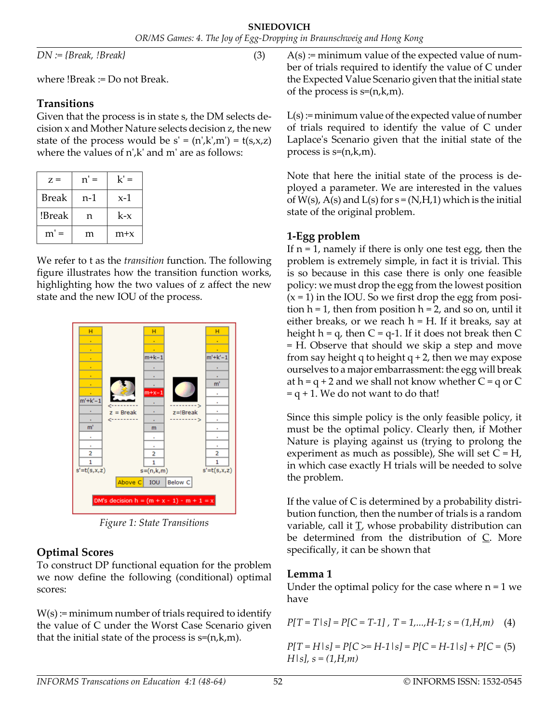*DN := {Break, !Break}* (3)

$$
\mathcal{L}_{\mathcal{A}}
$$

where !Break := Do not Break.

# **Transitions**

Given that the process is in state s, the DM selects decision x and Mother Nature selects decision z, the new state of the process would be  $s' = (n', k', m') = t(s, x, z)$ where the values of n',k' and m' are as follows:

| $Z =$        | $n' =$ | $\mathbf{k}'$<br>$=$ |
|--------------|--------|----------------------|
| <b>Break</b> | n-1    | $x-1$                |
| !Break       | n      | $k-x$                |
| $m' =$       | m      | $m+x$                |

We refer to t as the *transition* function. The following figure illustrates how the transition function works, highlighting how the two values of z affect the new state and the new IOU of the process.



*Figure 1: State Transitions*

# **Optimal Scores**

To construct DP functional equation for the problem we now define the following (conditional) optimal scores:

 $W(s)$  := minimum number of trials required to identify the value of C under the Worst Case Scenario given that the initial state of the process is  $s=(n,k,m)$ .

 $A(s)$  := minimum value of the expected value of number of trials required to identify the value of C under the Expected Value Scenario given that the initial state of the process is  $s=(n,k,m)$ .

 $L(s)$  := minimum value of the expected value of number of trials required to identify the value of C under Laplace's Scenario given that the initial state of the process is  $s=(n,k,m)$ .

Note that here the initial state of the process is deployed a parameter. We are interested in the values of  $W(s)$ ,  $A(s)$  and  $L(s)$  for  $s = (N,H,1)$  which is the initial state of the original problem.

## **1-Egg problem**

If  $n = 1$ , namely if there is only one test egg, then the problem is extremely simple, in fact it is trivial. This is so because in this case there is only one feasible policy: we must drop the egg from the lowest position  $(x = 1)$  in the IOU. So we first drop the egg from position  $h = 1$ , then from position  $h = 2$ , and so on, until it either breaks, or we reach  $h = H$ . If it breaks, say at height  $h = q$ , then  $C = q-1$ . If it does not break then C = H. Observe that should we skip a step and move from say height q to height  $q + 2$ , then we may expose ourselves to a major embarrassment: the egg will break at  $h = q + 2$  and we shall not know whether  $C = q$  or C  $= q + 1$ . We do not want to do that!

Since this simple policy is the only feasible policy, it must be the optimal policy. Clearly then, if Mother Nature is playing against us (trying to prolong the experiment as much as possible), She will set  $C = H$ , in which case exactly H trials will be needed to solve the problem.

If the value of C is determined by a probability distribution function, then the number of trials is a random variable, call it  $\underline{T}$ , whose probability distribution can be determined from the distribution of  $C$ . More specifically, it can be shown that

## **Lemma 1**

Under the optimal policy for the case where  $n = 1$  we have

$$
P[T = T | s] = P[C = T-1], T = 1,...,H-1; s = (1,H,m)
$$
 (4)

 $P[T = H|S] = P[C \rangle = H-1|S] = P[C = H-1|S] + P[C = (5)$ *H|s], s = (1,H,m)*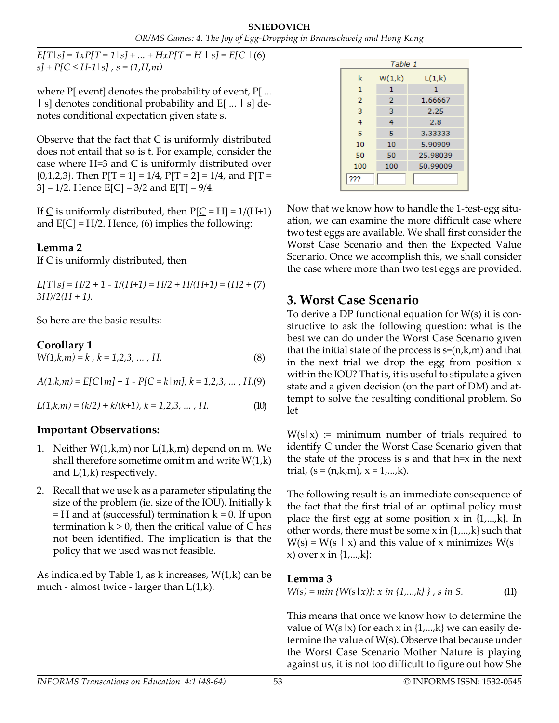$E[T|s] = 1xP[T = 1|s] + ... + HxP[T = H | s] = E[C | (6)$ *s] + P[C ≤ H-1|s] , s = (1,H,m)*

where P[ event] denotes the probability of event, P[ ... | s] denotes conditional probability and E[ ... | s] denotes conditional expectation given state s.

Observe that the fact that  $C$  is uniformly distributed does not entail that so is  $t$ . For example, consider the</u> case where H=3 and C is uniformly distributed over  $\{0,1,2,3\}$ . Then  $P[T = 1] = 1/4$ ,  $P[T = 2] = 1/4$ , and  $P[T = 1]$ 3] =  $1/2$ . Hence E[C] =  $3/2$  and E[T] =  $9/4$ .

If  $\subseteq$  is uniformly distributed, then  $P[\subseteq H] = 1/(H+1)$ and  $E[\_] = H/2$ . Hence, (6) implies the following:

#### **Lemma 2**

If  $C$  is uniformly distributed, then

*E[T|s] = H/2 + 1 - 1/(H+1) = H/2 + H/(H+1) = (H2 +* (7) *3H)/2(H + 1).*

So here are the basic results:

### **Corollary 1**  $W(1,k,m) = k$ ,  $k = 1,2,3, \ldots$ , H. (8)

 $A(1,k,m) = E[C|m] + 1 - P[C = k|m], k = 1,2,3,...,H(9)$ 

 $L(1, k, m) = (k/2) + k/(k+1), k = 1, 2, 3, ..., H.$  (10)

## **Important Observations:**

- 1. Neither W(1,k,m) nor L(1,k,m) depend on m. We shall therefore sometime omit m and write  $W(1,k)$ and  $L(1,k)$  respectively.
- 2. Recall that we use k as a parameter stipulating the size of the problem (ie. size of the IOU). Initially k  $=$  H and at (successful) termination  $k = 0$ . If upon termination  $k > 0$ , then the critical value of C has not been identified. The implication is that the policy that we used was not feasible.

As indicated by Table 1, as k increases, W(1,k) can be much - almost twice - larger than L(1,k).

|                | Table 1        |          |  |  |  |  |  |  |  |  |
|----------------|----------------|----------|--|--|--|--|--|--|--|--|
| k              | W(1,k)         | L(1,k)   |  |  |  |  |  |  |  |  |
| $\mathbf{1}$   | 1              | 1        |  |  |  |  |  |  |  |  |
| $\overline{2}$ | $\overline{2}$ | 1.66667  |  |  |  |  |  |  |  |  |
| 3              | з              | 2.25     |  |  |  |  |  |  |  |  |
| 4              | 4              | 2.8      |  |  |  |  |  |  |  |  |
| 5              | 5              | 3.33333  |  |  |  |  |  |  |  |  |
| 10             | 10             | 5.90909  |  |  |  |  |  |  |  |  |
| 50             | 50             | 25.98039 |  |  |  |  |  |  |  |  |
| 100            | 100            | 50.99009 |  |  |  |  |  |  |  |  |
| 222            |                |          |  |  |  |  |  |  |  |  |

Now that we know how to handle the 1-test-egg situation, we can examine the more difficult case where two test eggs are available. We shall first consider the Worst Case Scenario and then the Expected Value Scenario. Once we accomplish this, we shall consider the case where more than two test eggs are provided.

# **3. Worst Case Scenario**

To derive a DP functional equation for  $W(s)$  it is constructive to ask the following question: what is the best we can do under the Worst Case Scenario given that the initial state of the process is  $s=(n,k,m)$  and that in the next trial we drop the egg from position  $x$ within the IOU? That is, it is useful to stipulate a given state and a given decision (on the part of DM) and attempt to solve the resulting conditional problem. So let

 $W(s|x)$  := minimum number of trials required to identify C under the Worst Case Scenario given that the state of the process is s and that h=x in the next trial,  $(s = (n,k,m), x = 1,...,k)$ .

The following result is an immediate consequence of the fact that the first trial of an optimal policy must place the first egg at some position  $x$  in  $\{1,...,k\}$ . In other words, there must be some  $x$  in  $\{1,...,k\}$  such that  $W(s) = W(s \mid x)$  and this value of x minimizes  $W(s \mid x)$ x) over x in  $\{1,...,k\}$ :

#### **Lemma 3**

$$
W(s) = min \{ W(s | x) \}: x in \{1,...,k\} \}, \, s in \, S. \tag{11}
$$

This means that once we know how to determine the value of  $W(s|x)$  for each x in  $\{1,...,k\}$  we can easily determine the value of W(s). Observe that because under the Worst Case Scenario Mother Nature is playing against us, it is not too difficult to figure out how She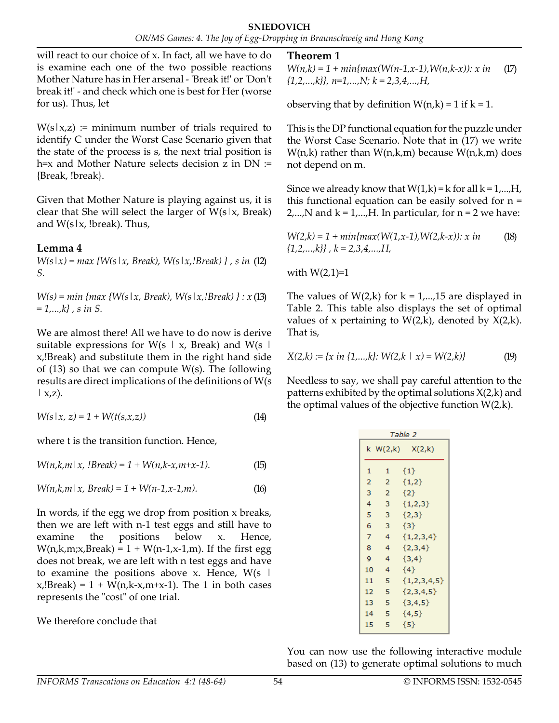will react to our choice of x. In fact, all we have to do is examine each one of the two possible reactions Mother Nature has in Her arsenal - 'Break it!' or 'Don't break it!' - and check which one is best for Her (worse for us). Thus, let

 $W(s|x,z)$  := minimum number of trials required to identify C under the Worst Case Scenario given that the state of the process is s, the next trial position is h=x and Mother Nature selects decision  $\overline{z}$  in DN := {Break, !break}.

Given that Mother Nature is playing against us, it is clear that She will select the larger of  $W(s|x, Break)$ and  $W(s|x, !break)$ . Thus,

#### **Lemma 4**

*W(s|x) = max {W(s|x, Break), W(s|x,!Break) } , s in* (12) *S.*

*W(s) = min {max {W(s|x, Break), W(s|x,!Break) } : x* (13) *= 1,...,k} , s in S.*

We are almost there! All we have to do now is derive suitable expressions for  $W(s \mid x, \text{Break})$  and  $W(s \mid x, \text{Break})$ x,!Break) and substitute them in the right hand side of  $(13)$  so that we can compute W(s). The following results are direct implications of the definitions of W(s  $\vert x,z\rangle$ .

$$
W(s \mid x, z) = 1 + W(t(s, x, z))
$$
\n(14)

where t is the transition function. Hence,

$$
W(n,k,m \mid x, \text{!} \text{break}) = 1 + W(n,k-x,m+x-1). \tag{15}
$$

$$
W(n,k,m \mid x, \text{ Break}) = 1 + W(n-1,x-1,m). \tag{16}
$$

In words, if the egg we drop from position x breaks, then we are left with n-1 test eggs and still have to examine the positions below x. Hence,  $W(n,k,m;x,Break) = 1 + W(n-1,x-1,m)$ . If the first egg does not break, we are left with n test eggs and have to examine the positions above x. Hence,  $W(s \mid s)$  $x$ ,  $Break$ ) = 1 +  $W(n,k-x,m+x-1)$ . The 1 in both cases represents the "cost" of one trial.

We therefore conclude that

#### **Theorem 1**

 $W(n,k) = 1 + min\{max(W(n-1,x-1), W(n,k-x))$ : x in (17) *{1,2,...,k}}, n=1,...,N; k = 2,3,4,...,H,*

observing that by definition  $W(n,k) = 1$  if  $k = 1$ .

This is the DP functional equation for the puzzle under the Worst Case Scenario. Note that in (17) we write W(n,k) rather than W(n,k,m) because W(n,k,m) does not depend on m.

Since we already know that  $W(1,k) = k$  for all  $k = 1,...,H$ , this functional equation can be easily solved for  $n =$  $2,...,N$  and  $k = 1,...,H$ . In particular, for  $n = 2$  we have:

$$
W(2,k) = 1 + min\{max(W(1,x-1), W(2,k-x)) : x in \qquad (18)
$$
  
{1,2,...,k}} , k = 2,3,4,...,H,

with  $W(2,1)=1$ 

The values of  $W(2,k)$  for  $k = 1,...,15$  are displayed in Table 2. This table also displays the set of optimal values of x pertaining to  $W(2,k)$ , denoted by  $X(2,k)$ . That is,

$$
X(2,k) := \{x \ in \ \{1,...,k\}: W(2,k \mid x) = W(2,k)\}
$$
 (19)

Needless to say, we shall pay careful attention to the patterns exhibited by the optimal solutions  $X(2,k)$  and the optimal values of the objective function  $W(2,k)$ .

|    |                | Table 2             |
|----|----------------|---------------------|
|    |                | k $W(2,k)$ $X(2,k)$ |
| 1  | 1              | ${1}$               |
| 2  | $\overline{2}$ | ${1,2}$             |
| 3  | $\overline{2}$ | $\{2\}$             |
| 4  | 3              | ${1,2,3}$           |
| 5  | 3              | ${2,3}$             |
| 6  | 3              | $\{3\}$             |
| 7  | 4              | ${1,2,3,4}$         |
| 8  | 4              | ${2,3,4}$           |
| 9  | 4              | $\{3,4\}$           |
| 10 | 4              | $\{4\}$             |
| 11 | 5              | ${1, 2, 3, 4, 5}$   |
| 12 | 5.             | ${2,3,4,5}$         |
| 13 | 5.             | $\{3,4,5\}$         |
| 14 | 5.             | ${4,5}$             |
| 15 | 5              | ${5}$               |

You can now use the following interactive module based on (13) to generate optimal solutions to much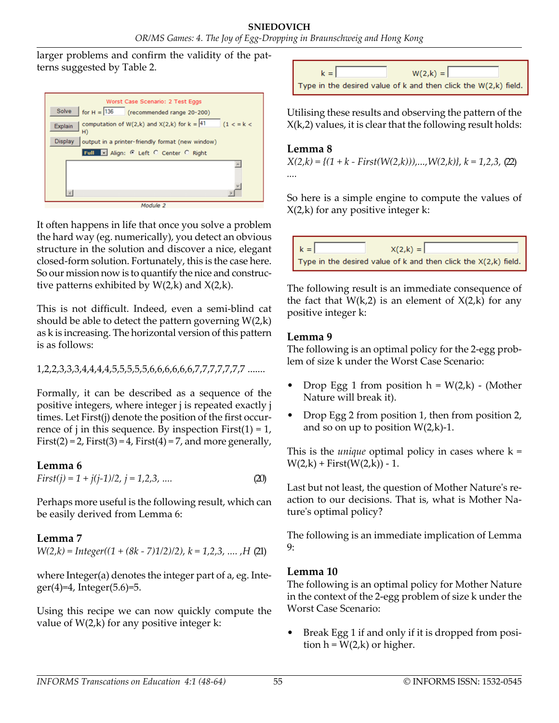larger problems and confirm the validity of the patterns suggested by Table 2.



It often happens in life that once you solve a problem the hard way (eg. numerically), you detect an obvious structure in the solution and discover a nice, elegant closed-form solution. Fortunately, this is the case here. So our mission now is to quantify the nice and constructive patterns exhibited by  $W(2,k)$  and  $X(2,k)$ .

This is not difficult. Indeed, even a semi-blind cat should be able to detect the pattern governing  $W(2,k)$ as k is increasing. The horizontal version of this pattern is as follows:

1,2,2,3,3,3,4,4,4,4,5,5,5,5,5,6,6,6,6,6,6,7,7,7,7,7,7,7 .......

Formally, it can be described as a sequence of the positive integers, where integer j is repeated exactly j times. Let First(j) denote the position of the first occurrence of j in this sequence. By inspection  $First(1) = 1$ , First(2) = 2, First(3) = 4, First(4) = 7, and more generally,

## **Lemma 6**

$$
First(j) = 1 + j(j-1)/2, j = 1,2,3, \dots
$$
 (20)

Perhaps more useful is the following result, which can be easily derived from Lemma 6:

## **Lemma 7**

*W(2,k) = Integer((1 + (8k - 7)1/2)/2), k = 1,2,3, .... ,H* (21)

where Integer(a) denotes the integer part of a, eg. Integer(4)=4, Integer(5.6)=5.

Using this recipe we can now quickly compute the value of  $W(2,k)$  for any positive integer k:

| $k =$ | $W(2,k) =$                                                        |
|-------|-------------------------------------------------------------------|
|       | Type in the desired value of k and then click the $W(2,k)$ field. |

Utilising these results and observing the pattern of the  $X(k,2)$  values, it is clear that the following result holds:

#### **Lemma 8**

*X(2,k) = {(1 + k - First(W(2,k))),...,W(2,k)}, k = 1,2,3,* (22) *....*

So here is a simple engine to compute the values of  $X(2,k)$  for any positive integer k:



The following result is an immediate consequence of the fact that  $W(k,2)$  is an element of  $X(2,k)$  for any positive integer k:

#### **Lemma 9**

The following is an optimal policy for the 2-egg problem of size k under the Worst Case Scenario:

- Drop Egg 1 from position  $h = W(2, k)$  (Mother Nature will break it).
- Drop Egg 2 from position 1, then from position 2, and so on up to position  $W(2,k)-1$ .

This is the *unique* optimal policy in cases where  $k =$  $W(2,k)$  + First( $W(2,k)$ ) - 1.

Last but not least, the question of Mother Nature's reaction to our decisions. That is, what is Mother Nature's optimal policy?

The following is an immediate implication of Lemma 9:

## **Lemma 10**

The following is an optimal policy for Mother Nature in the context of the 2-egg problem of size k under the Worst Case Scenario:

• Break Egg 1 if and only if it is dropped from position  $h = W(2,k)$  or higher.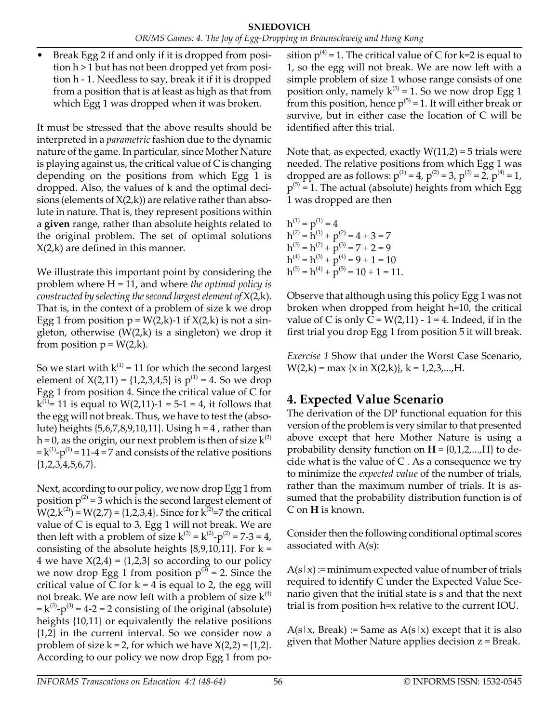• Break Egg 2 if and only if it is dropped from position h > 1 but has not been dropped yet from position h - 1. Needless to say, break it if it is dropped from a position that is at least as high as that from which Egg 1 was dropped when it was broken.

It must be stressed that the above results should be interpreted in a *parametric* fashion due to the dynamic nature of the game. In particular, since Mother Nature is playing against us, the critical value of C is changing depending on the positions from which Egg 1 is dropped. Also, the values of k and the optimal decisions (elements of  $X(2,k)$ ) are relative rather than absolute in nature. That is, they represent positions within a **given** range, rather than absolute heights related to the original problem. The set of optimal solutions X(2,k) are defined in this manner.

We illustrate this important point by considering the problem where H = 11, and where *the optimal policy is constructed by selecting the second largest element of* X(2,k). That is, in the context of a problem of size k we drop Egg 1 from position  $p = W(2,k)-1$  if  $X(2,k)$  is not a singleton, otherwise (W(2,k) is a singleton) we drop it from position  $p = W(2, k)$ .

So we start with  $k^{(1)}$  = 11 for which the second largest element of  $X(2,11) = \{1,2,3,4,5\}$  is  $p^{(1)} = 4$ . So we drop Egg 1 from position 4. Since the critical value of C for  $k^{(1)}$  = 11 is equal to W(2,11)-1 = 5-1 = 4, it follows that the egg will not break. Thus, we have to test the (absolute) heights {5,6,7,8,9,10,11}. Using h = 4 , rather than h = 0, as the origin, our next problem is then of size  ${\sf k}^{\scriptscriptstyle (2)}$  $=k^{(1)}-p^{(1)}=11-4=7$  and consists of the relative positions  ${1,2,3,4,5,6,7}$ .

Next, according to our policy, we now drop Egg 1 from position  $p^{(2)}$  = 3 which is the second largest element of  $W(2, k^{(2)}) = W(2,7) = \{1, 2, 3, 4\}.$  Since for  $k^{(2)} = 7$  the critical value of C is equal to 3, Egg 1 will not break. We are then left with a problem of size  $k^{(3)} = k^{(2)} - p^{(2)} = 7-3 = 4$ , consisting of the absolute heights  $\{8,9,10,11\}$ . For  $k =$ 4 we have  $X(2,4) = \{1,2,3\}$  so according to our policy we now drop Egg 1 from position  $p^{(3)}$  = 2. Since the critical value of  $C$  for  $k = 4$  is equal to 2, the egg will not break. We are now left with a problem of size  ${\sf k}^{\scriptscriptstyle (4)}$  $=k^{(3)}-p^{(3)}=4-2=2$  consisting of the original (absolute) heights {10,11} or equivalently the relative positions {1,2} in the current interval. So we consider now a problem of size  $k = 2$ , for which we have  $X(2,2) = \{1,2\}.$ According to our policy we now drop Egg 1 from po-

sition  $p^{(4)}$  = 1. The critical value of C for k=2 is equal to 1, so the egg will not break. We are now left with a simple problem of size 1 whose range consists of one position only, namely  $k^{(5)}$  = 1. So we now drop Egg 1 from this position, hence  $p^{(5)}$  = 1. It will either break or survive, but in either case the location of C will be identified after this trial.

Note that, as expected, exactly  $W(11,2) = 5$  trials were needed. The relative positions from which Egg 1 was dropped are as follows:  $p^{(1)} = 4$ ,  $p^{(2)} = 3$ ,  $p^{(3)} = 2$ ,  $p^{(4)} = 1$ ,  $p^{(5)}$  = 1. The actual (absolute) heights from which Egg 1 was dropped are then

 $h^{(1)} = p^{(1)} = 4$  $h^{(2)} = h^{(1)} + p^{(2)} = 4 + 3 = 7$  $h^{(3)} = h^{(2)} + p^{(3)} = 7 + 2 = 9$  $h^{(4)} = h^{(3)} + p^{(4)} = 9 + 1 = 10$  $h^{(5)} = h^{(4)} + p^{(5)} = 10 + 1 = 11.$ 

Observe that although using this policy Egg 1 was not broken when dropped from height h=10, the critical value of C is only  $C = W(2,11) - 1 = 4$ . Indeed, if in the first trial you drop Egg 1 from position 5 it will break.

*Exercise 1* Show that under the Worst Case Scenario,  $W(2,k) = \max \{x \in X(2,k)\}, k = 1,2,3,...,H$ .

# **4. Expected Value Scenario**

The derivation of the DP functional equation for this version of the problem is very similar to that presented above except that here Mother Nature is using a probability density function on  $H = \{0, 1, 2, \ldots, H\}$  to decide what is the value of C . As a consequence we try to minimize the *expected value* of the number of trials, rather than the maximum number of trials. It is assumed that the probability distribution function is of C on **H** is known.

Consider then the following conditional optimal scores associated with A(s):

 $A(s|x)$  := minimum expected value of number of trials required to identify C under the Expected Value Scenario given that the initial state is s and that the next trial is from position h=x relative to the current IOU.

 $A(s|x, Break) := Same$  as  $A(s|x)$  except that it is also given that Mother Nature applies decision z = Break.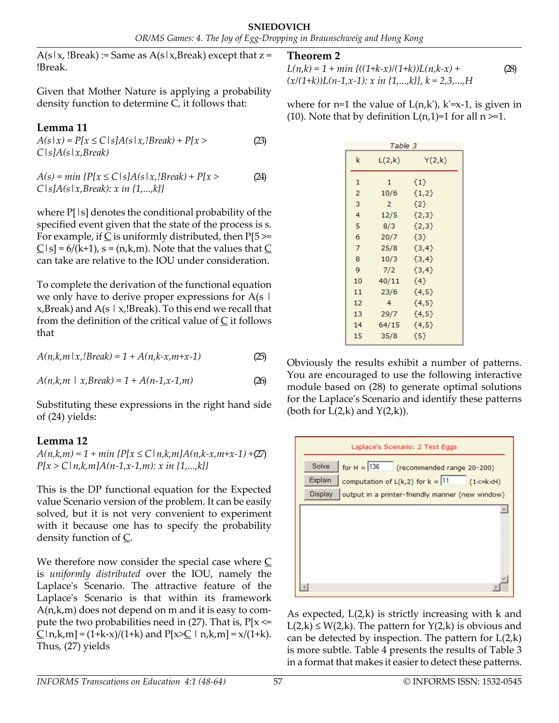$A(s|x, Break) :=$  Same as  $A(s|x, Break)$  except that  $z =$ !Break.

Given that Mother Nature is applying a probability density function to determine C, it follows that:

## **Lemma 11**

 $A(s|x) = P[x \le C | s] A(s|x, Break) + P[x > (23)$ *C|s]A(s|x,Break)*

 $A(s) = min \{P[x \le C | s] A(s | x, Break) + P[x > (24)$ *C|s]A(s|x,Break): x in {1,...,k}}*

where  $P[|s]$  denotes the conditional probability of the specified event given that the state of the process is s. For example, if  $\overline{C}$  is uniformly distributed, then P[5 $\ge$ =  $C|s| = 6/(k+1)$ , s = (n,k,m). Note that the values that  $C$ can take are relative to the IOU under consideration.

To complete the derivation of the functional equation we only have to derive proper expressions for  $A(s \mid s)$ x, Break) and  $A(s | x)$ . Break). To this end we recall that from the definition of the critical value of  $C$  it follows that

$$
A(n,k,m \mid x, !Break) = 1 + A(n,k-x,m+x-1)
$$
 (25)

$$
A(n,k,m \mid x, Break) = 1 + A(n-1,x-1,m)
$$
 (26)

Substituting these expressions in the right hand side of (24) yields:

#### **Lemma 12**

*A(n,k,m) = 1 + min {P[x ≤ C|n,k,m]A(n,k-x,m+x-1) +*(27) *P[x > C|n,k,m]A(n-1,x-1,m): x in {1,...,k}}*

This is the DP functional equation for the Expected value Scenario version of the problem. It can be easily solved, but it is not very convenient to experiment with it because one has to specify the probability density function of C.

We therefore now consider the special case where  $C$ is *uniformly distributed* over the IOU, namely the Laplace's Scenario. The attractive feature of the Laplace's Scenario is that within its framework A(n,k,m) does not depend on m and it is easy to compute the two probabilities need in (27). That is,  $P[x \leq z]$  $C|n,k,m| = (1+k-x)/(1+k)$  and  $P[x > C | n,k,m] = x/(1+k)$ . Thus, (27) yields

#### **Theorem 2**

 $L(n,k) = 1 + min \{((1+k-x)/(1+k))L(n,k-x) + (28)$  $(x/(1+k))L(n-1,x-1): x \in \{1,...,k\}, k = 2,3,...,H$ 

where for  $n=1$  the value of  $L(n,k')$ ,  $k'=x-1$ , is given in (10). Note that by definition  $L(n,1)=1$  for all  $n >= 1$ .

|    | Table 3       |           |  |  |  |  |  |  |  |  |
|----|---------------|-----------|--|--|--|--|--|--|--|--|
| k  | L(2,k)        | Y(2,k)    |  |  |  |  |  |  |  |  |
| 1  | 1.            | $\{1\}$   |  |  |  |  |  |  |  |  |
| 2  | 10/6          | ${1,2}$   |  |  |  |  |  |  |  |  |
| 3  | $\mathcal{P}$ | ${2}$     |  |  |  |  |  |  |  |  |
| 4  | 12/5          | ${2,3}$   |  |  |  |  |  |  |  |  |
| 5  | 8/3           | ${2,3}$   |  |  |  |  |  |  |  |  |
| 6  | 20/7          | $\{3\}$   |  |  |  |  |  |  |  |  |
| 7  | 25/8          | ${3,4}$   |  |  |  |  |  |  |  |  |
| 8  | 10/3          | $\{3,4\}$ |  |  |  |  |  |  |  |  |
| 9  | 7/2           | ${3,4}$   |  |  |  |  |  |  |  |  |
| 10 | 40/11         | $\{4\}$   |  |  |  |  |  |  |  |  |
| 11 | 23/6          | ${4,5}$   |  |  |  |  |  |  |  |  |
| 12 | 4             | ${4.5}$   |  |  |  |  |  |  |  |  |
| 13 | 29/7          | ${4.5}$   |  |  |  |  |  |  |  |  |
| 14 | 64/15         | ${4.5}$   |  |  |  |  |  |  |  |  |
| 15 | 35/8          | ${5}$     |  |  |  |  |  |  |  |  |

Obviously the results exhibit a number of patterns. You are encouraged to use the following interactive module based on (28) to generate optimal solutions for the Laplace's Scenario and identify these patterns (both for  $L(2,k)$  and  $Y(2,k)$ ).



As expected,  $L(2,k)$  is strictly increasing with k and  $L(2,k) \le W(2,k)$ . The pattern for  $Y(2,k)$  is obvious and can be detected by inspection. The pattern for  $L(2,k)$ is more subtle. Table 4 presents the results of Table 3 in a format that makes it easier to detect these patterns.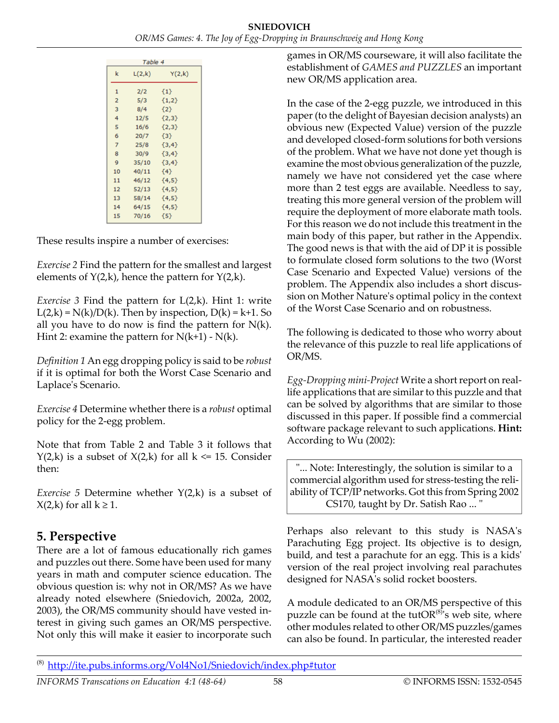|                 | Table 4 |           |  |  |  |  |  |  |  |  |
|-----------------|---------|-----------|--|--|--|--|--|--|--|--|
| k               | L(2,k)  | Y(2,k)    |  |  |  |  |  |  |  |  |
| 1               | 2/2     | $\{1\}$   |  |  |  |  |  |  |  |  |
| $\overline{2}$  | 5/3     | ${1,2}$   |  |  |  |  |  |  |  |  |
| 3               | 8/4     | ${2}$     |  |  |  |  |  |  |  |  |
| 4               | 12/5    | ${2,3}$   |  |  |  |  |  |  |  |  |
| 5               | 16/6    | ${2,3}$   |  |  |  |  |  |  |  |  |
| 6               | 20/7    | $\{3\}$   |  |  |  |  |  |  |  |  |
| 7               | 25/8    | $\{3,4\}$ |  |  |  |  |  |  |  |  |
| 8               | 30/9    | $\{3,4\}$ |  |  |  |  |  |  |  |  |
| 9               | 35/10   | ${3,4}$   |  |  |  |  |  |  |  |  |
| 10              | 40/11   | ${4}$     |  |  |  |  |  |  |  |  |
| 11              | 46/12   | ${4,5}$   |  |  |  |  |  |  |  |  |
| 12              | 52/13   | ${4,5}$   |  |  |  |  |  |  |  |  |
| 13              | 58/14   | ${4,5}$   |  |  |  |  |  |  |  |  |
| 14 <sup>5</sup> | 64/15   | ${4,5}$   |  |  |  |  |  |  |  |  |
| 15              | 70/16   | $\{5\}$   |  |  |  |  |  |  |  |  |

These results inspire a number of exercises:

*Exercise 2* Find the pattern for the smallest and largest elements of  $Y(2,k)$ , hence the pattern for  $Y(2,k)$ .

*Exercise 3* Find the pattern for L(2,k). Hint 1: write  $L(2,k) = N(k)/D(k)$ . Then by inspection,  $D(k) = k+1$ . So all you have to do now is find the pattern for  $N(k)$ . Hint 2: examine the pattern for  $N(k+1)$  -  $N(k)$ .

*Definition 1* An egg dropping policy is said to be *robust* if it is optimal for both the Worst Case Scenario and Laplace's Scenario.

*Exercise 4* Determine whether there is a *robust* optimal policy for the 2-egg problem.

Note that from Table 2 and Table 3 it follows that  $Y(2,k)$  is a subset of  $X(2,k)$  for all  $k \le 15$ . Consider then:

*Exercise 5* Determine whether Y(2,k) is a subset of  $X(2,k)$  for all  $k \geq 1$ .

# **5. Perspective**

There are a lot of famous educationally rich games and puzzles out there. Some have been used for many years in math and computer science education. The obvious question is: why not in OR/MS? As we have already noted elsewhere (Sniedovich, 2002a, 2002, 2003), the OR/MS community should have vested interest in giving such games an OR/MS perspective. Not only this will make it easier to incorporate such games in OR/MS courseware, it will also facilitate the establishment of *GAMES and PUZZLES* an important new OR/MS application area.

In the case of the 2-egg puzzle, we introduced in this paper (to the delight of Bayesian decision analysts) an obvious new (Expected Value) version of the puzzle and developed closed-form solutions for both versions of the problem. What we have not done yet though is examine the most obvious generalization of the puzzle, namely we have not considered yet the case where more than 2 test eggs are available. Needless to say, treating this more general version of the problem will require the deployment of more elaborate math tools. For this reason we do not include this treatment in the main body of this paper, but rather in the Appendix. The good news is that with the aid of DP it is possible to formulate closed form solutions to the two (Worst Case Scenario and Expected Value) versions of the problem. The Appendix also includes a short discussion on Mother Nature's optimal policy in the context of the Worst Case Scenario and on robustness.

The following is dedicated to those who worry about the relevance of this puzzle to real life applications of OR/MS.

*Egg-Dropping mini-Project* Write a short report on reallife applications that are similar to this puzzle and that can be solved by algorithms that are similar to those discussed in this paper. If possible find a commercial software package relevant to such applications. **Hint:** According to Wu (2002):

"... Note: Interestingly, the solution is similar to a commercial algorithm used for stress-testing the reliability of TCP/IP networks. Got this from Spring 2002 CS170, taught by Dr. Satish Rao ... "

Perhaps also relevant to this study is NASA's Parachuting Egg project. Its objective is to design, build, and test a parachute for an egg. This is a kids' version of the real project involving real parachutes designed for NASA's solid rocket boosters.

A module dedicated to an OR/MS perspective of this puzzle can be found at the tutOR $^{(8)}$ 's web site, where other modules related to other OR/MS puzzles/games can also be found. In particular, the interested reader

<sup>&</sup>lt;sup>(8)</sup> <http://ite.pubs.informs.org/Vol4No1/Sniedovich/index.php#tutor>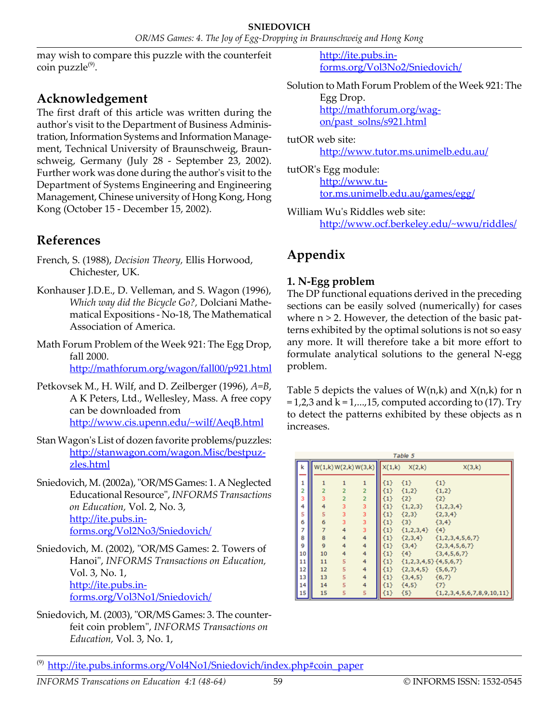may wish to compare this puzzle with the counterfeit coin puzzle<sup>(9)</sup>.

# **Acknowledgement**

The first draft of this article was written during the author's visit to the Department of Business Administration, Information Systems and Information Management, Technical University of Braunschweig, Braunschweig, Germany (July 28 - September 23, 2002). Further work was done during the author's visit to the Department of Systems Engineering and Engineering Management, Chinese university of Hong Kong, Hong Kong (October 15 - December 15, 2002).

# **References**

- French, S. (1988), *Decision Theory,* Ellis Horwood, Chichester, UK.
- Konhauser J.D.E., D. Velleman, and S. Wagon (1996), *Which way did the Bicycle Go?,* Dolciani Mathematical Expositions - No-18, The Mathematical Association of America.
- Math Forum Problem of the Week 921: The Egg Drop, fall 2000.

<http://mathforum.org/wagon/fall00/p921.html>

- Petkovsek M., H. Wilf, and D. Zeilberger (1996), *A=B*, A K Peters, Ltd., Wellesley, Mass. A free copy can be downloaded from <http://www.cis.upenn.edu/~wilf/AeqB.html>
- Stan Wagon's List of dozen favorite problems/puzzles: [http://stanwagon.com/wagon.Misc/bestpuz](http://stanwagon.com/wagon.Misc/bestpuzzles.html)[zles.html](http://stanwagon.com/wagon.Misc/bestpuzzles.html)
- Sniedovich, M. (2002a), "OR/MS Games: 1. A Neglected Educational Resource", *INFORMS Transactions on Education,* Vol. 2, No. 3, [http://ite.pubs.in](http://ite.pubs.informs.org/Vol2No3/Sniedovich/)[forms.org/Vol2No3/Sniedovich/](http://ite.pubs.informs.org/Vol2No3/Sniedovich/)
- Sniedovich, M. (2002), "OR/MS Games: 2. Towers of Hanoi", *INFORMS Transactions on Education,* Vol. 3, No. 1, [http://ite.pubs.in](http://ite.pubs.informs.org/Vol3No1/Sniedovich/)[forms.org/Vol3No1/Sniedovich/](http://ite.pubs.informs.org/Vol3No1/Sniedovich/)
- Sniedovich, M. (2003), "OR/MS Games: 3. The counterfeit coin problem", *INFORMS Transactions on Education,* Vol. 3, No. 1,

[http://ite.pubs.in](http://ite.pubs.informs.org/Vol3No2/Sniedovich/)[forms.org/Vol3No2/Sniedovich/](http://ite.pubs.informs.org/Vol3No2/Sniedovich/)

Solution to Math Forum Problem of the Week 921: The Egg Drop. [http://mathforum.org/wag](http://mathforum.org/wagon/past_solns/s921.html)[on/past\\_solns/s921.html](http://mathforum.org/wagon/past_solns/s921.html)

tutOR web site: <http://www.tutor.ms.unimelb.edu.au/>

- tutOR's Egg module: [http://www.tu](http://www.tutor.ms.unimelb.edu.au/games/egg/)[tor.ms.unimelb.edu.au/games/egg/](http://www.tutor.ms.unimelb.edu.au/games/egg/)
- William Wu's Riddles web site: <http://www.ocf.berkeley.edu/~wwu/riddles/>

# **Appendix**

#### **1. N-Egg problem**

The DP functional equations derived in the preceding sections can be easily solved (numerically) for cases where n > 2. However, the detection of the basic patterns exhibited by the optimal solutions is not so easy any more. It will therefore take a bit more effort to formulate analytical solutions to the general N-egg problem.

Table 5 depicts the values of  $W(n,k)$  and  $X(n,k)$  for n  $= 1,2,3$  and  $k = 1,...,15$ , computed according to (17). Try to detect the patterns exhibited by these objects as n increases.

|    | Table 5 |                |                |                    |         |                           |                             |  |  |  |  |  |
|----|---------|----------------|----------------|--------------------|---------|---------------------------|-----------------------------|--|--|--|--|--|
| k  |         |                |                | W(1,k)W(2,k)W(3,k) | X(1,k)  | X(2,k)                    | X(3,k)                      |  |  |  |  |  |
|    |         |                |                |                    |         |                           |                             |  |  |  |  |  |
| 1  |         | 1              | 1              | 1                  | ${1}$   | ${1}$                     | ${1}$                       |  |  |  |  |  |
| 2  |         | $\overline{2}$ | $\overline{2}$ | $\overline{2}$     | ${1}$   | ${1,2}$                   | ${1,2}$                     |  |  |  |  |  |
| з  |         | 3              | $\overline{2}$ | $\overline{2}$     | $\{1\}$ | ${2}$                     | ${2}$                       |  |  |  |  |  |
| 4  |         | 4              | 3              | 3                  | ${1}$   | ${1,2,3}$                 | ${1,2,3,4}$                 |  |  |  |  |  |
| 5  |         | 5              | 3              | 3                  | ${1}$   | ${2,3}$                   | ${2,3,4}$                   |  |  |  |  |  |
| б  |         | 6              | 3              | 3                  | $\{1\}$ | ${3}$                     | ${3,4}$                     |  |  |  |  |  |
| 7  |         | $\overline{7}$ | 4              | 3                  | $\{1\}$ | ${1,2,3,4}$               | ${4}$                       |  |  |  |  |  |
| 8  |         | 8              | 4              | 4                  | $\{1\}$ | ${2,3,4}$                 | ${1, 2, 3, 4, 5, 6, 7}$     |  |  |  |  |  |
| 9  |         | 9              | 4              | 4                  | ${1}$   | ${3,4}$                   | ${2,3,4,5,6,7}$             |  |  |  |  |  |
| 10 |         | 10             | 4              | 4                  | ${1}$   | $\{4\}$                   | ${3,4,5,6,7}$               |  |  |  |  |  |
| 11 |         | 11             | 5              | 4                  | $\{1\}$ | ${1,2,3,4,5}$ ${4,5,6,7}$ |                             |  |  |  |  |  |
| 12 |         | 12             | 5              | 4                  | ${1}$   | ${2,3,4,5}$ ${5,6,7}$     |                             |  |  |  |  |  |
| 13 |         | 13             | 5              | 4                  | $\{1\}$ | $\{3,4,5\}$               | ${6,7}$                     |  |  |  |  |  |
| 14 |         | 14             | 5              | 4                  | $\{1\}$ | ${4,5}$                   | ${7}$                       |  |  |  |  |  |
| 15 |         | 15             | 5              | 5                  | $\{1\}$ | ${5}$                     | ${1,2,3,4,5,6,7,8,9,10,11}$ |  |  |  |  |  |

<sup>(9)</sup> [http://ite.pubs.informs.org/Vol4No1/Sniedovich/index.php#coin\\_paper](http://ite.pubs.informs.org/Vol4No1/Sniedovich/index.php#coin_paper)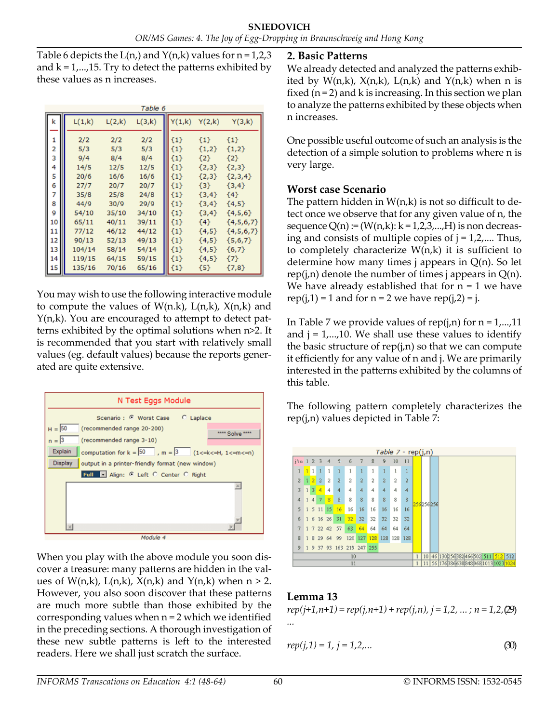Table 6 depicts the  $L(n)$  and  $Y(n,k)$  values for  $n = 1,2,3$ and  $k = 1, \ldots, 15$ . Try to detect the patterns exhibited by these values as n increases.

|                                           | Table 6                                                            |                                                                    |                                                                    |                                                                                         |                                                                                               |                                                                                                 |  |  |  |  |  |  |
|-------------------------------------------|--------------------------------------------------------------------|--------------------------------------------------------------------|--------------------------------------------------------------------|-----------------------------------------------------------------------------------------|-----------------------------------------------------------------------------------------------|-------------------------------------------------------------------------------------------------|--|--|--|--|--|--|
| k                                         | L(1,k)                                                             | L(2,k)                                                             | L(3,k)                                                             | Y(1,k)                                                                                  | Y(2,k)                                                                                        | Y(3,k)                                                                                          |  |  |  |  |  |  |
| 1<br>2<br>3<br>4<br>5<br>6<br>7<br>8<br>9 | 2/2<br>5/3<br>9/4<br>14/5<br>20/6<br>27/7<br>35/8<br>44/9<br>54/10 | 2/2<br>5/3<br>8/4<br>12/5<br>16/6<br>20/7<br>25/8<br>30/9<br>35/10 | 2/2<br>5/3<br>8/4<br>12/5<br>16/6<br>20/7<br>24/8<br>29/9<br>34/10 | $\{1\}$<br>$\{1\}$<br>$\{1\}$<br>$\{1\}$<br>${1}$<br>$\{1\}$<br>${1}$<br>${1}$<br>${1}$ | $\{1\}$<br>${1,2}$<br>${2}$<br>${2,3}$<br>${2,3}$<br>$\{3\}$<br>${3,4}$<br>${3,4}$<br>${3,4}$ | $\{1\}$<br>${1,2}$<br>${2}$<br>${2,3}$<br>${2,3,4}$<br>${3,4}$<br>${4}$<br>${4.5}$<br>${4,5,6}$ |  |  |  |  |  |  |
| 10                                        | 65/11                                                              | 40/11                                                              | 39/11                                                              | ${1}$                                                                                   | $\{4\}$                                                                                       | ${4,5,6,7}$                                                                                     |  |  |  |  |  |  |
| 11                                        | 77/12                                                              | 46/12                                                              | 44/12                                                              | ${1}$                                                                                   | ${4,5}$                                                                                       | $\{4, 5, 6, 7\}$                                                                                |  |  |  |  |  |  |
| 12<br>13                                  | 90/13<br>104/14                                                    | 52/13<br>58/14                                                     | 49/13<br>54/14                                                     | $\{1\}$<br>$\{1\}$                                                                      | ${4,5}$<br>${4,5}$                                                                            | ${5,6,7}$<br>${6,7}$                                                                            |  |  |  |  |  |  |
| 14                                        | 119/15                                                             | 64/15                                                              | 59/15                                                              | $\{1\}$                                                                                 | ${4.5}$                                                                                       | {7}                                                                                             |  |  |  |  |  |  |
| 15                                        | 135/16                                                             | 70/16                                                              | 65/16                                                              | {1}                                                                                     | {5}                                                                                           | ${7,8}$                                                                                         |  |  |  |  |  |  |

You may wish to use the following interactive module to compute the values of  $W(n,k)$ ,  $L(n,k)$ ,  $X(n,k)$  and Y(n,k). You are encouraged to attempt to detect patterns exhibited by the optimal solutions when n>2. It is recommended that you start with relatively small values (eg. default values) because the reports generated are quite extensive.



When you play with the above module you soon discover a treasure: many patterns are hidden in the values of  $W(n,k)$ ,  $L(n,k)$ ,  $X(n,k)$  and  $Y(n,k)$  when  $n > 2$ . However, you also soon discover that these patterns are much more subtle than those exhibited by the corresponding values when n = 2 which we identified in the preceding sections. A thorough investigation of these new subtle patterns is left to the interested readers. Here we shall just scratch the surface.

#### **2. Basic Patterns**

We already detected and analyzed the patterns exhibited by  $W(n,k)$ ,  $X(n,k)$ ,  $L(n,k)$  and  $Y(n,k)$  when n is fixed  $(n=2)$  and k is increasing. In this section we plan to analyze the patterns exhibited by these objects when n increases.

One possible useful outcome of such an analysis is the detection of a simple solution to problems where n is very large.

#### **Worst case Scenario**

The pattern hidden in  $W(n,k)$  is not so difficult to detect once we observe that for any given value of n, the sequence  $Q(n) := (W(n,k): k = 1,2,3,...,H)$  is non decreasing and consists of multiple copies of  $j = 1, 2, \dots$ . Thus, to completely characterize  $W(n,k)$  it is sufficient to determine how many times j appears in Q(n). So let rep( $j$ ,n) denote the number of times  $j$  appears in  $Q(n)$ . We have already established that for  $n = 1$  we have rep( $j, 1$ ) = 1 and for  $n = 2$  we have rep( $j, 2$ ) =  $j$ .

In Table 7 we provide values of rep( $j$ ,n) for  $n = 1,...,11$ and  $j = 1, \ldots, 10$ . We shall use these values to identify the basic structure of  $rep(j,n)$  so that we can compute it efficiently for any value of n and j. We are primarily interested in the patterns exhibited by the columns of this table.

The following pattern completely characterizes the rep(j,n) values depicted in Table 7:



**Lemma 13**

*rep(j+1,n+1) = rep(j,n+1) + rep(j,n), j = 1,2, ... ; n = 1,2,*(29) *...*

 $rep(j,1) = 1, j = 1,2,...$  (30)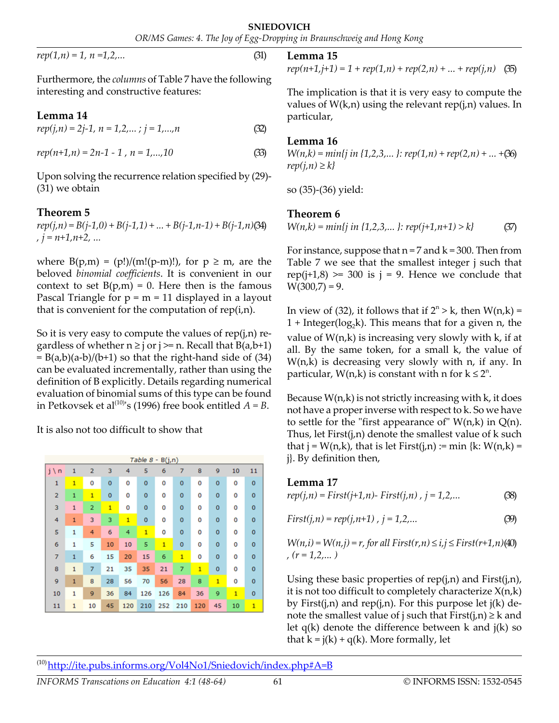$rep(1,n) = 1, n = 1,2,...$  (31)

Furthermore, the *columns* of Table 7 have the following interesting and constructive features:

#### **Lemma 14**

*rep(j,n) = 2j-1, n = 1,2,... ; j = 1,...,n* (32)

 $rep(n+1,n) = 2n-1-1, n = 1,...,10$  (33)

Upon solving the recurrence relation specified by (29)- (31) we obtain

#### **Theorem 5**

*rep(j,n) = B(j-1,0) + B(j-1,1) + ... + B(j-1,n-1) + B(j-1,n)*(34)  $i = n+1, n+2, ...$ 

where  $B(p,m) = (p!)/(m!(p-m)!)$ , for  $p \ge m$ , are the beloved *binomial coefficients*. It is convenient in our context to set  $B(p,m) = 0$ . Here then is the famous Pascal Triangle for  $p = m = 11$  displayed in a layout that is convenient for the computation of  $rep(i,n)$ .

So it is very easy to compute the values of  $rep(j,n)$  regardless of whether  $n \ge j$  or  $j \ge n$ . Recall that  $B(a,b+1)$  $= B(a,b)(a-b)/(b+1)$  so that the right-hand side of (34) can be evaluated incrementally, rather than using the definition of B explicitly. Details regarding numerical evaluation of binomial sums of this type can be found in Petkovsek et al<sup>(10)</sup>'s (1996) free book entitled  $A = B$ .

It is also not too difficult to show that

|                | Table $8 - B(j,n)$ |                |                |              |                |              |                |     |                |    |                |  |
|----------------|--------------------|----------------|----------------|--------------|----------------|--------------|----------------|-----|----------------|----|----------------|--|
| j\n            | 1                  | $\overline{2}$ | 3              | 4            | 5              | 6            | 7              | 8   | 9              | 10 | 11             |  |
| 1              | 1                  | 0              | 0              | 0            | $\overline{0}$ | 0            | $\overline{0}$ | 0   | o              | 0  | 0              |  |
| $\overline{a}$ | 1                  | 1              | 0              | 0            | $\mathbf 0$    | 0            | $\mathbf 0$    | 0   | $\mathbf 0$    | 0  | 0              |  |
| 3              | $\mathbf{1}$       | $\overline{2}$ | $\overline{1}$ | 0            | $\mathbf 0$    | 0            | $\overline{0}$ | 0   | 0              | 0  | $\mathbf 0$    |  |
| 4              | $\mathbf{1}$       | 3              | 3              | $\mathbf{1}$ | 0              | 0            | $\overline{0}$ | 0   | $\overline{0}$ | 0  | $\overline{0}$ |  |
| 5              | 1                  | 4              | 6              | 4            | 1              | 0            | $\overline{0}$ | 0   | $\mathbf 0$    | 0  | $\overline{0}$ |  |
| 6              | 1                  | 5              | 10             | 10           | 5              | $\mathbf{1}$ | 0              | 0   | $\overline{0}$ | 0  | $\bf{0}$       |  |
| 7              | 1                  | 6              | 15             | 20           | 15             | 6            | $\mathbf{1}$   | 0   | $\mathbf 0$    | 0  | $\overline{0}$ |  |
| 8              | 1                  | 7              | 21             | 35           | 35             | 21           | 7              | 1   | 0              | 0  | $\mathbf 0$    |  |
| 9              | $\overline{1}$     | 8              | 28             | 56           | 70             | 56           | 28             | 8   | $\mathbf{1}$   | 0  | 0              |  |
| 10             | 1                  | 9              | 36             | 84           | 126            | 126          | 84             | 36  | 9              | 1  | $\overline{0}$ |  |
| 11             | 1                  | 10             | 45             | 120          | 210            | 252          | 210            | 120 | 45             | 10 | 1              |  |

#### **Lemma 15**

 $rep(n+1,j+1) = 1 + rep(1,n) + rep(2,n) + ... + rep(j,n)$  (35)

The implication is that it is very easy to compute the values of  $W(k,n)$  using the relevant rep(j,n) values. In particular,

#### **Lemma 16**

*W(n,k) = min{j in {1,2,3,... }: rep(1,n) + rep(2,n) + ... +*(36) *rep(j,n) ≥ k}*

so (35)-(36) yield:

#### **Theorem 6**

$$
W(n,k) = min\{j \ in \ \{1,2,3,...\} : rep(j+1,n+1) > k\} \tag{37}
$$

For instance, suppose that  $n = 7$  and  $k = 300$ . Then from Table 7 we see that the smallest integer j such that rep( $j+1,8$ ) >= 300 is  $j = 9$ . Hence we conclude that  $W(300,7) = 9.$ 

In view of (32), it follows that if  $2<sup>n</sup> > k$ , then  $W(n,k) =$  $1 + \text{Integer}(\text{log}_2 k)$ . This means that for a given n, the value of  $W(n,k)$  is increasing very slowly with k, if at all. By the same token, for a small k, the value of W(n,k) is decreasing very slowly with n, if any. In particular,  $W(n,k)$  is constant with n for  $k \leq 2^n$ .

Because  $W(n,k)$  is not strictly increasing with  $k$ , it does not have a proper inverse with respect to k. So we have to settle for the "first appearance of"  $W(n,k)$  in  $Q(n)$ . Thus, let First(j,n) denote the smallest value of k such that  $j = W(n,k)$ , that is let First( $j,n$ ) := min {k:  $W(n,k)$  = j}. By definition then,

#### **Lemma 17**

 $rep(j,n) = First(j+1,n) - First(j,n)$ ,  $j = 1,2,...$  (38)

$$
First(j, n) = rep(j, n+1), j = 1, 2, ...
$$
 (39)

 $W(n,i) = W(n,i) = r$ , for all  $First(r,n) \le i, j \le First(r+1,n)$ (40) *, (r = 1,2,... )*

Using these basic properties of  $rep(j,n)$  and  $First(j,n)$ , it is not too difficult to completely characterize  $X(n,k)$ by First( $j$ ,n) and rep( $j$ ,n). For this purpose let  $j(k)$  denote the smallest value of j such that  $First(j, n) \geq k$  and let  $q(k)$  denote the difference between k and  $j(k)$  so that  $k = j(k) + q(k)$ . More formally, let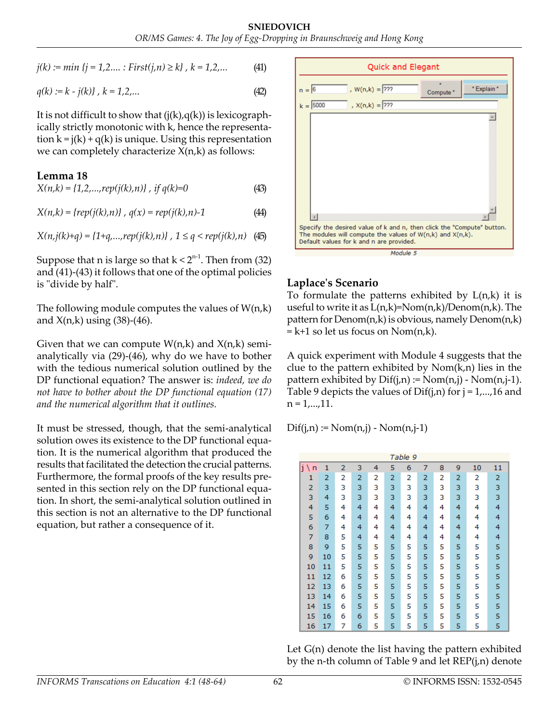$$
j(k) := \min \{j = 1, 2, \dots : \text{First}(j, n) \ge k\}, \ k = 1, 2, \dots \tag{41}
$$

$$
q(k) := k - j(k) \}, \ k = 1, 2, \dots \tag{42}
$$

It is not difficult to show that  $(j(k),q(k))$  is lexicographically strictly monotonic with k, hence the representation  $k = j(k) + q(k)$  is unique. Using this representation we can completely characterize  $X(n,k)$  as follows:

#### **Lemma 18**

 $X(n,k) = \{1,2,...,rep(j(k),n)\}\,$ , if  $q(k)=0$  (43)

$$
X(n,k) = \{ rep(j(k),n)\}, q(x) = rep(j(k),n) - 1
$$
 (44)

$$
X(n,j(k)+q) = \{1+q,...,rep(j(k),n)\}, \ 1 \le q < rep(j(k),n) \quad (45)
$$

Suppose that  $n$  is large so that  $k < 2^{n-1}$ . Then from (32) and (41)-(43) it follows that one of the optimal policies is "divide by half".

The following module computes the values of  $W(n,k)$ and  $X(n,k)$  using (38)-(46).

Given that we can compute  $W(n,k)$  and  $X(n,k)$  semianalytically via (29)-(46), why do we have to bother with the tedious numerical solution outlined by the DP functional equation? The answer is: *indeed, we do not have to bother about the DP functional equation (17) and the numerical algorithm that it outlines.*

It must be stressed, though, that the semi-analytical solution owes its existence to the DP functional equation. It is the numerical algorithm that produced the results that facilitated the detection the crucial patterns. Furthermore, the formal proofs of the key results presented in this section rely on the DP functional equation. In short, the semi-analytical solution outlined in this section is not an alternative to the DP functional equation, but rather a consequence of it.



#### **Laplace's Scenario**

To formulate the patterns exhibited by  $L(n,k)$  it is useful to write it as  $L(n,k)=Nom(n,k)/Denom(n,k)$ . The pattern for Denom(n,k) is obvious, namely Denom(n,k)  $= k+1$  so let us focus on Nom $(n,k)$ .

A quick experiment with Module 4 suggests that the clue to the pattern exhibited by Nom(k,n) lies in the pattern exhibited by  $Diff(j,n) := Nom(n,j) - Nom(n,j-1)$ . Table 9 depicts the values of  $Diff(j,n)$  for  $j = 1,...,16$  and  $n = 1, \ldots, 11.$ 

 $Diff(j,n) := Nom(n,j) - Nom(n,j-1)$ 

| Table 9                |    |   |   |   |   |   |   |   |   |    |    |
|------------------------|----|---|---|---|---|---|---|---|---|----|----|
| j<br>١<br>$\mathsf{n}$ | 1  | 2 | 3 | 4 | 5 | 6 | 7 | 8 | 9 | 10 | 11 |
| 1                      | 2  | 2 | 2 | 2 | 2 | 2 | 2 | 2 | 2 | 2  | 2  |
| 2                      | 3  | 3 | 3 | з | 3 | 3 | 3 | з | 3 | 3  | 3  |
| 3                      | 4  | 3 | 3 | 3 | 3 | 3 | 3 | 3 | 3 | 3  | 3  |
| 4                      | 5  | 4 | 4 | 4 | 4 | 4 | 4 | 4 | 4 | 4  | 4  |
| 5                      | 6  | 4 | 4 | 4 | 4 | 4 | 4 | 4 | 4 | 4  | 4  |
| 6                      | 7  | 4 | 4 | 4 | 4 | 4 | 4 | 4 | 4 | 4  | 4  |
| 7                      | 8  | 5 | 4 | 4 | 4 | 4 | 4 | 4 | 4 | 4  | 4  |
| 8                      | 9  | 5 | 5 | 5 | 5 | 5 | 5 | 5 | 5 | 5  | 5  |
| 9                      | 10 | 5 | 5 | 5 | 5 | 5 | 5 | 5 | 5 | 5  | 5  |
| 10                     | 11 | 5 | 5 | 5 | 5 | 5 | 5 | 5 | 5 | 5  | 5  |
| 11                     | 12 | 6 | 5 | 5 | 5 | 5 | 5 | 5 | 5 | 5  | 5  |
| 12                     | 13 | 6 | 5 | 5 | 5 | 5 | 5 | 5 | 5 | 5  | 5  |
| 13                     | 14 | 6 | 5 | 5 | 5 | 5 | 5 | 5 | 5 | 5  | 5  |
| 14                     | 15 | 6 | 5 | 5 | 5 | 5 | 5 | 5 | 5 | 5  | 5  |
| 15                     | 16 | 6 | 6 | 5 | 5 | 5 | 5 | 5 | 5 | 5  | 5  |
| 16                     | 17 | 7 | 6 | 5 | 5 | 5 | 5 | 5 | 5 | 5  | 5  |

Let G(n) denote the list having the pattern exhibited by the n-th column of Table 9 and let REP(j,n) denote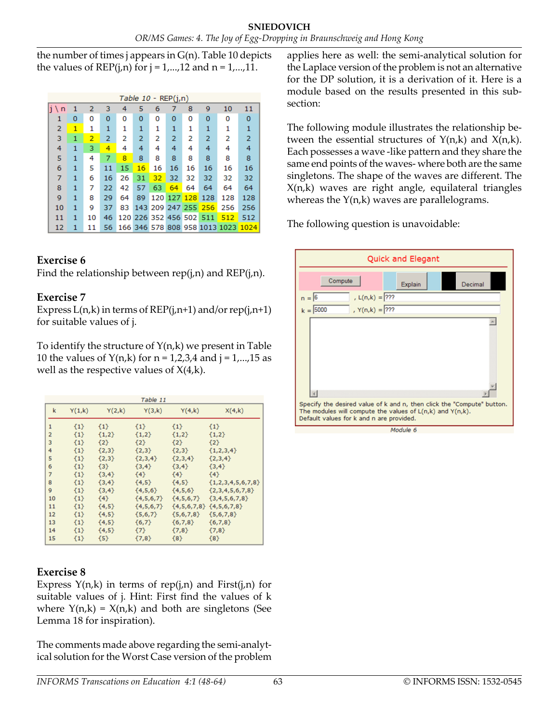the number of times j appears in  $G(n)$ . Table 10 depicts the values of REP( $j$ ,n) for  $j = 1,...,12$  and  $n = 1,...,11$ .

| Table 10 - REP(j,n) |   |                |    |    |                     |     |                 |     |     |                               |      |
|---------------------|---|----------------|----|----|---------------------|-----|-----------------|-----|-----|-------------------------------|------|
| $j \ n$             | 1 | 2              | з  | 4  | 5                   | 6   | 7               | 8   | 9   | 10                            | 11   |
| 1                   | 0 | 0              | 0  | 0  | 0                   | 0   | 0               | 0   | 0   | 0                             | 0    |
| $\overline{2}$      | 1 | 1              | 1  | 1  | 1                   | 1   | 1               | 1   | 1   | 1                             | 1    |
| 3                   | 1 | $\overline{2}$ | 2  | 2  | 2                   | 2   | 2               | 2   | 2   | 2                             | 2    |
| 4                   | 1 | з              | 4  | 4  | 4                   | 4   | 4               | 4   | 4   | 4                             | 4    |
| 5                   | 1 | 4              | 7  | 8  | 8                   | 8   | 8               | 8   | 8   | 8                             | 8    |
| 6                   | 1 | 5              | 11 | 15 | 16                  | 16  | 16              | 16  | 16  | 16                            | 16   |
| 7                   | 1 | 6              | 16 | 26 | 31                  | 32  | 32              | 32  | 32  | 32                            | 32   |
| 8                   | 1 | 7              | 22 | 42 | 57                  | 63  | 64              | 64  | 64  | 64                            | 64   |
| 9                   | 1 | 8              | 29 | 64 | 89                  | 120 | 127             | 128 | 128 | 128                           | 128  |
| 10                  | 1 | 9              | 37 | 83 |                     |     | 143 209 247 255 |     | 256 | 256                           | 256  |
| 11                  | 1 | 10             | 46 |    | 120 226 352 456 502 |     |                 |     | 511 | 512                           | 512  |
| 12                  | 1 | 11             | 56 |    |                     |     |                 |     |     | 166 346 578 808 958 1013 1023 | 1024 |

#### **Exercise 6**

Find the relationship between rep( $j$ ,n) and REP( $j$ ,n).

#### **Exercise 7**

Express  $L(n,k)$  in terms of  $REP(j,n+1)$  and/or rep(j,n+1) for suitable values of j.

To identify the structure of  $Y(n,k)$  we present in Table 10 the values of  $Y(n,k)$  for  $n = 1,2,3,4$  and  $j = 1,...,15$  as well as the respective values of X(4,k).

|                |        |         | Table 11         |                  |                             |
|----------------|--------|---------|------------------|------------------|-----------------------------|
| k              | Y(1,k) | Y(2,k)  | Y(3,k)           | Y(4,k)           | X(4,k)                      |
| 1              | ${1}$  | $\{1\}$ | $\{1\}$          | $\{1\}$          | $\{1\}$                     |
| $\overline{a}$ | ${1}$  | ${1,2}$ | ${1,2}$          | ${1,2}$          | ${1,2}$                     |
| 3              | ${1}$  | ${2}$   | ${2}$            | $\{2\}$          | ${2}$                       |
| 4              | ${1}$  | ${2,3}$ | ${2,3}$          | ${2,3}$          | ${1,2,3,4}$                 |
| 5              | ${1}$  | ${2,3}$ | ${2,3,4}$        | ${2,3,4}$        | ${2,3,4}$                   |
| 6              | ${1}$  | $\{3\}$ | $\{3,4\}$        | $\{3,4\}$        | $\{3,4\}$                   |
| $\overline{7}$ | ${1}$  | ${3,4}$ | $\{4\}$          | $\{4\}$          | ${4}$                       |
| 8              | ${1}$  | ${3,4}$ | ${4.5}$          | ${4,5}$          | ${1, 2, 3, 4, 5, 6, 7, 8}$  |
| 9              | ${1}$  | ${3,4}$ | ${4,5,6}$        | ${4,5,6}$        | ${2,3,4,5,6,7,8}$           |
| 10             | ${1}$  | $\{4\}$ | $\{4, 5, 6, 7\}$ | $\{4, 5, 6, 7\}$ | $\{3,4,5,6,7,8\}$           |
| 11             | ${1}$  | ${4,5}$ | ${4,5,6,7}$      |                  | ${4,5,6,7,8}$ ${4,5,6,7,8}$ |
| 12             | ${1}$  | ${4,5}$ | ${5,6,7}$        | ${5,6,7,8}$      | ${5,6,7,8}$                 |
| 13             | ${1}$  | ${4,5}$ | ${6,7}$          | ${6,7,8}$        | ${6,7,8}$                   |
| 14             | ${1}$  | ${4,5}$ | ${7}$            | ${7,8}$          | ${7,8}$                     |
| 15             | ${1}$  | $\{5\}$ | ${7,8}$          | $\{8\}$          | ${8}$                       |

## **Exercise 8**

Express  $Y(n,k)$  in terms of rep(j,n) and First(j,n) for suitable values of j. Hint: First find the values of k where  $Y(n,k) = X(n,k)$  and both are singletons (See Lemma 18 for inspiration).

The comments made above regarding the semi-analytical solution for the Worst Case version of the problem applies here as well: the semi-analytical solution for the Laplace version of the problem is not an alternative for the DP solution, it is a derivation of it. Here is a module based on the results presented in this subsection:

The following module illustrates the relationship between the essential structures of  $Y(n,k)$  and  $X(n,k)$ . Each possesses a wave -like pattern and they share the same end points of the waves- where both are the same singletons. The shape of the waves are different. The X(n,k) waves are right angle, equilateral triangles whereas the Y(n,k) waves are parallelograms.

The following question is unavoidable: